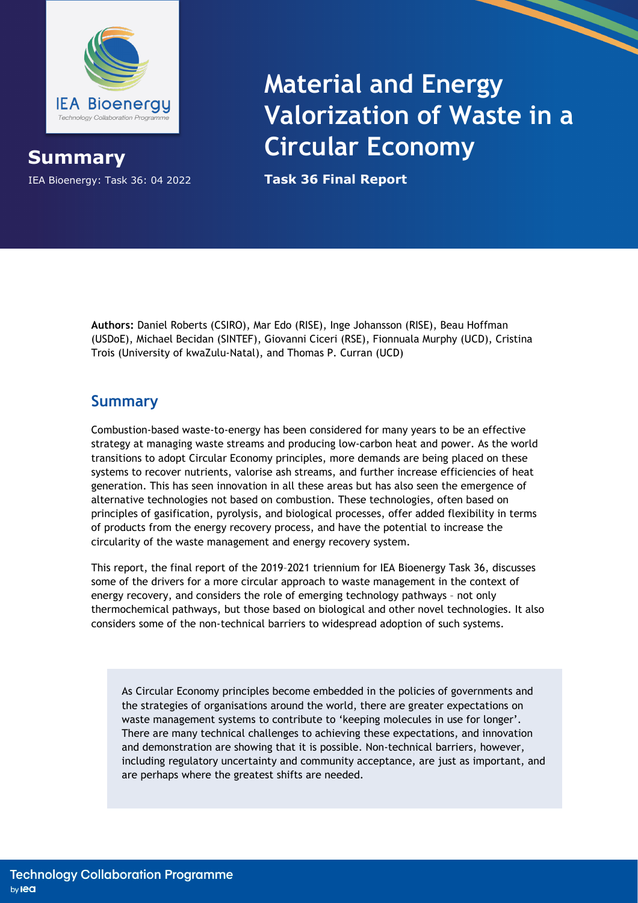

## IEA Bioenergy: Task 36: 04 2022 **Task 36 Final Report Summary**

## **Material and Energy Valorization of Waste in a Circular Economy**

**Authors:** Daniel Roberts (CSIRO), Mar Edo (RISE), Inge Johansson (RISE), Beau Hoffman (USDoE), Michael Becidan (SINTEF), Giovanni Ciceri (RSE), Fionnuala Murphy (UCD), Cristina Trois (University of kwaZulu-Natal), and Thomas P. Curran (UCD)

## **Summary**

Combustion-based waste-to-energy has been considered for many years to be an effective strategy at managing waste streams and producing low-carbon heat and power. As the world transitions to adopt Circular Economy principles, more demands are being placed on these systems to recover nutrients, valorise ash streams, and further increase efficiencies of heat generation. This has seen innovation in all these areas but has also seen the emergence of alternative technologies not based on combustion. These technologies, often based on principles of gasification, pyrolysis, and biological processes, offer added flexibility in terms of products from the energy recovery process, and have the potential to increase the circularity of the waste management and energy recovery system.

This report, the final report of the 2019–2021 triennium for IEA Bioenergy Task 36, discusses some of the drivers for a more circular approach to waste management in the context of energy recovery, and considers the role of emerging technology pathways – not only thermochemical pathways, but those based on biological and other novel technologies. It also considers some of the non-technical barriers to widespread adoption of such systems.

As Circular Economy principles become embedded in the policies of governments and the strategies of organisations around the world, there are greater expectations on waste management systems to contribute to 'keeping molecules in use for longer'. There are many technical challenges to achieving these expectations, and innovation and demonstration are showing that it is possible. Non-technical barriers, however, including regulatory uncertainty and community acceptance, are just as important, and are perhaps where the greatest shifts are needed.